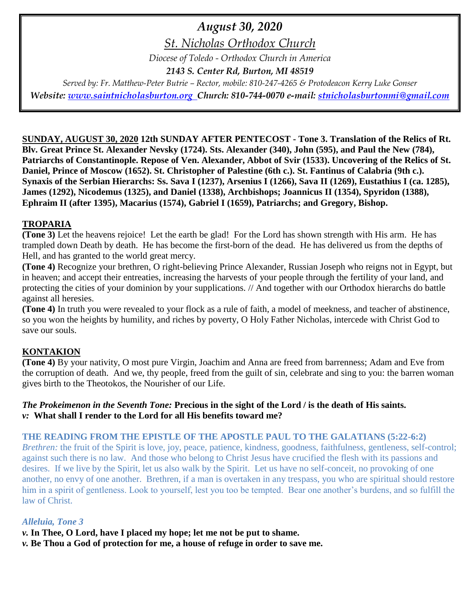# *August 30, 2020*

*St. Nicholas Orthodox Church*

*Diocese of Toledo - Orthodox Church in America*

*2143 S. Center Rd, Burton, MI 48519*

*Served by: Fr. Matthew-Peter Butrie – Rector, mobile: 810-247-4265 & Protodeacon Kerry Luke Gonser Website: [www.saintnicholasburton.org](http://www.saintnicholasburton.org/) Church: 810-744-0070 e-mail: [stnicholasburtonmi@gmail.com](mailto:stnicholasburtonmi@gmail.com)*

**SUNDAY, AUGUST 30, 2020 12th SUNDAY AFTER PENTECOST - Tone 3. Translation of the Relics of Rt. Blv. Great Prince St. Alexander Nevsky (1724). Sts. Alexander (340), John (595), and Paul the New (784), Patriarchs of Constantinople. Repose of Ven. Alexander, Abbot of Svir (1533). Uncovering of the Relics of St. Daniel, Prince of Moscow (1652). St. Christopher of Palestine (6th c.). St. Fantinus of Calabria (9th c.). Synaxis of the Serbian Hierarchs: Ss. Sava I (1237), Arsenius I (1266), Sava II (1269), Eustathius I (ca. 1285), James (1292), Nicodemus (1325), and Daniel (1338), Archbishops; Joannicus II (1354), Spyridon (1388), Ephraim II (after 1395), Macarius (1574), Gabriel I (1659), Patriarchs; and Gregory, Bishop.**

# **TROPARIA**

**(Tone 3)** Let the heavens rejoice! Let the earth be glad! For the Lord has shown strength with His arm. He has trampled down Death by death. He has become the first-born of the dead. He has delivered us from the depths of Hell, and has granted to the world great mercy.

**(Tone 4)** Recognize your brethren, O right-believing Prince Alexander, Russian Joseph who reigns not in Egypt, but in heaven; and accept their entreaties, increasing the harvests of your people through the fertility of your land, and protecting the cities of your dominion by your supplications. // And together with our Orthodox hierarchs do battle against all heresies.

**(Tone 4)** In truth you were revealed to your flock as a rule of faith, a model of meekness, and teacher of abstinence, so you won the heights by humility, and riches by poverty, O Holy Father Nicholas, intercede with Christ God to save our souls.

# **KONTAKION**

**(Tone 4)** By your nativity, O most pure Virgin, Joachim and Anna are freed from barrenness; Adam and Eve from the corruption of death. And we, thy people, freed from the guilt of sin, celebrate and sing to you: the barren woman gives birth to the Theotokos, the Nourisher of our Life.

### *The Prokeimenon in the Seventh Tone:* **Precious in the sight of the Lord / is the death of His saints.** *v:* **What shall I render to the Lord for all His benefits toward me?**

# **THE READING FROM THE EPISTLE OF THE APOSTLE PAUL TO THE GALATIANS (5:22-6:2)**

*Brethren:* the fruit of the Spirit is love, joy, peace, patience, kindness, goodness, faithfulness, gentleness, self-control; against such there is no law. And those who belong to Christ Jesus have crucified the flesh with its passions and desires. If we live by the Spirit, let us also walk by the Spirit. Let us have no self-conceit, no provoking of one another, no envy of one another. Brethren, if a man is overtaken in any trespass, you who are spiritual should restore him in a spirit of gentleness. Look to yourself, lest you too be tempted. Bear one another's burdens, and so fulfill the law of Christ.

#### *Alleluia, Tone 3*

- *v.* **In Thee, O Lord, have I placed my hope; let me not be put to shame.**
- *v.* **Be Thou a God of protection for me, a house of refuge in order to save me.**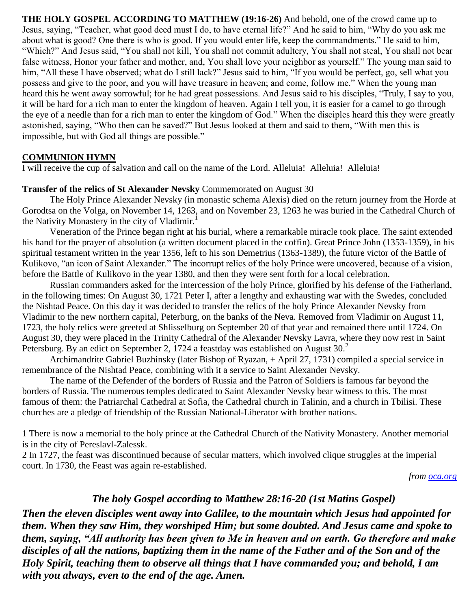**THE HOLY GOSPEL ACCORDING TO MATTHEW (19:16-26)** And behold, one of the crowd came up to Jesus, saying, "Teacher, what good deed must I do, to have eternal life?" And he said to him, "Why do you ask me about what is good? One there is who is good. If you would enter life, keep the commandments." He said to him, "Which?" And Jesus said, "You shall not kill, You shall not commit adultery, You shall not steal, You shall not bear false witness, Honor your father and mother, and, You shall love your neighbor as yourself." The young man said to him, "All these I have observed; what do I still lack?" Jesus said to him, "If you would be perfect, go, sell what you possess and give to the poor, and you will have treasure in heaven; and come, follow me." When the young man heard this he went away sorrowful; for he had great possessions. And Jesus said to his disciples, "Truly, I say to you, it will be hard for a rich man to enter the kingdom of heaven. Again I tell you, it is easier for a camel to go through the eye of a needle than for a rich man to enter the kingdom of God." When the disciples heard this they were greatly astonished, saying, "Who then can be saved?" But Jesus looked at them and said to them, "With men this is impossible, but with God all things are possible."

#### **COMMUNION HYMN**

I will receive the cup of salvation and call on the name of the Lord. Alleluia! Alleluia! Alleluia!

#### **Transfer of the relics of St Alexander Nevsky** Commemorated on August 30

The Holy Prince Alexander Nevsky (in monastic schema Alexis) died on the return journey from the Horde at Gorodtsa on the Volga, on November 14, 1263, and on November 23, 1263 he was buried in the Cathedral Church of the Nativity Monastery in the city of Vladimir.<sup>1</sup>

Veneration of the Prince began right at his burial, where a remarkable miracle took place. The saint extended his hand for the prayer of absolution (a written document placed in the coffin). Great Prince John (1353-1359), in his spiritual testament written in the year 1356, left to his son Demetrius (1363-1389), the future victor of the Battle of Kulikovo, "an icon of Saint Alexander." The incorrupt relics of the holy Prince were uncovered, because of a vision, before the Battle of Kulikovo in the year 1380, and then they were sent forth for a local celebration.

Russian commanders asked for the intercession of the holy Prince, glorified by his defense of the Fatherland, in the following times: On August 30, 1721 Peter I, after a lengthy and exhausting war with the Swedes, concluded the Nishtad Peace. On this day it was decided to transfer the relics of the holy Prince Alexander Nevsky from Vladimir to the new northern capital, Peterburg, on the banks of the Neva. Removed from Vladimir on August 11, 1723, the holy relics were greeted at Shlisselburg on September 20 of that year and remained there until 1724. On August 30, they were placed in the Trinity Cathedral of the Alexander Nevsky Lavra, where they now rest in Saint Petersburg. By an edict on September 2, 1724 a feastday was established on August 30.<sup>2</sup>

Archimandrite Gabriel Buzhinsky (later Bishop of Ryazan, + April 27, 1731) compiled a special service in remembrance of the Nishtad Peace, combining with it a service to Saint Alexander Nevsky.

The name of the Defender of the borders of Russia and the Patron of Soldiers is famous far beyond the borders of Russia. The numerous temples dedicated to Saint Alexander Nevsky bear witness to this. The most famous of them: the Patriarchal Cathedral at Sofia, the Cathedral church in Talinin, and a church in Tbilisi. These churches are a pledge of friendship of the Russian National-Liberator with brother nations.

1 There is now a memorial to the holy prince at the Cathedral Church of the Nativity Monastery. Another memorial is in the city of Pereslavl-Zalessk.

2 In 1727, the feast was discontinued because of secular matters, which involved clique struggles at the imperial court. In 1730, the Feast was again re-established.

*from [oca.org](https://www.oca.org/saints/lives/2020/08/30/102424-translation-of-the-relics-of-saint-alexander-nevsky)*

# *The holy Gospel according to Matthew 28:16-20 (1st Matins Gospel)*

*Then the eleven disciples went away into Galilee, to the mountain which Jesus had appointed for them. When they saw Him, they worshiped Him; but some doubted. And Jesus came and spoke to them, saying, "All authority has been given to Me in heaven and on earth. Go therefore and make disciples of all the nations, baptizing them in the name of the Father and of the Son and of the Holy Spirit, teaching them to observe all things that I have commanded you; and behold, I am with you always, even to the end of the age. Amen.*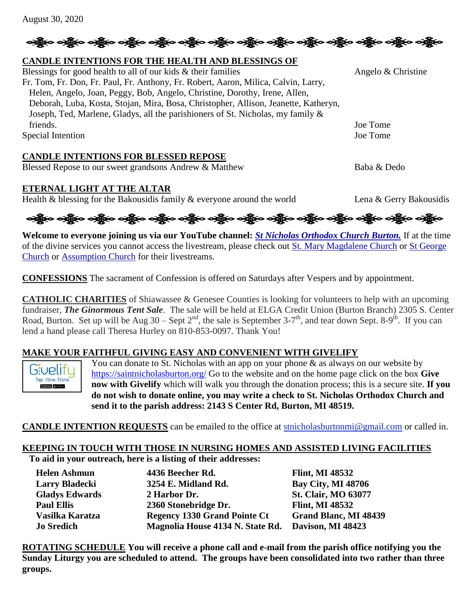# <del>လန္တိုးေတန္တိုးေတန္တိုးေတန္တိုးေတန္တိုးေတန္တိုးေတန္တိုးေတန္တိုးေတန္တိုးေတန္တိုးေတန္တိုး</del>

#### **CANDLE INTENTIONS FOR THE HEALTH AND BLESSINGS OF**

Blessings for good health to all of our kids  $\&$  their families Angelo  $\&$  Christine Fr. Tom, Fr. Don, Fr. Paul, Fr. Anthony, Fr. Robert, Aaron, Milica, Calvin, Larry, Helen, Angelo, Joan, Peggy, Bob, Angelo, Christine, Dorothy, Irene, Allen, Deborah, Luba, Kosta, Stojan, Mira, Bosa, Christopher, Allison, Jeanette, Katheryn, Joseph, Ted, Marlene, Gladys, all the parishioners of St. Nicholas, my family & friends. Joe Tome Special Intention Joe Tome

#### **CANDLE INTENTIONS FOR BLESSED REPOSE**

Blessed Repose to our sweet grandsons Andrew & Matthew Baba & Dedo

#### **ETERNAL LIGHT AT THE ALTAR**

Health & blessing for the Bakousidis family & everyone around the world Lena & Gerry Bakousidis

ခရွိက ခရွိက ခရွိက ခရွိက အိုင်း အိုင်း ခရွိက ခရွိက ခရွိက ခရွိက ခရွိက ခရွိက ခရွိက ခရွိက ခရွိက ခရွိက

**Welcome to everyone joining us via our YouTube channel:** *[St Nicholas Orthodox Church Burton.](https://www.youtube.com/channel/UC59tV-Re443z-GCoETAUvfA)* If at the time of the divine services you cannot access the livestream, please check out [St. Mary Magdalene Church](https://www.youtube.com/channel/UClHAqZrWkXdYELujbbIslHg) or [St George](https://www.youtube.com/channel/UCpLWfxMIJK4uQOV41ekE6Wg/videos?view=2&flow=grid)  [Church](https://www.youtube.com/channel/UCpLWfxMIJK4uQOV41ekE6Wg/videos?view=2&flow=grid) or [Assumption Church](https://www.facebook.com/AssumptionGrandBlanc/) for their livestreams.

**CONFESSIONS** The sacrament of Confession is offered on Saturdays after Vespers and by appointment.

**CATHOLIC CHARITIES** of Shiawassee & Genesee Counties is looking for volunteers to help with an upcoming fundraiser, *The Ginormous Tent Sale*. The sale will be held at ELGA Credit Union (Burton Branch) 2305 S. Center Road, Burton. Set up will be Aug  $30 -$ Sept  $2^{nd}$ , the sale is September  $3-7^{th}$ , and tear down Sept. 8-9<sup>th</sup>. If you can lend a hand please call Theresa Hurley on 810-853-0097. Thank You!

#### **MAKE YOUR FAITHFUL GIVING EASY AND CONVENIENT WITH GIVELIFY**

Givelifu Tap. Give. Done 

You can donate to St. Nicholas with an app on your phone  $\&$  as always on our website by <https://saintnicholasburton.org/> Go to the website and on the home page click on the box **Give now with Givelify** which will walk you through the donation process; this is a secure site. **If you do not wish to donate online, you may write a check to St. Nicholas Orthodox Church and send it to the parish address: 2143 S Center Rd, Burton, MI 48519.**

**CANDLE INTENTION REQUESTS** can be emailed to the office at [stnicholasburtonmi@gmail.com](mailto:stnicholasburtonmi@gmail.com) or called in.

#### **KEEPING IN TOUCH WITH THOSE IN NURSING HOMES AND ASSISTED LIVING FACILITIES To aid in your outreach, here is a listing of their addresses:**

| <b>Helen Ashmun</b>   | 4436 Beecher Rd.                    | <b>Flint, MI 48532</b>     |
|-----------------------|-------------------------------------|----------------------------|
| <b>Larry Bladecki</b> | 3254 E. Midland Rd.                 | <b>Bay City, MI 48706</b>  |
| <b>Gladys Edwards</b> | 2 Harbor Dr.                        | <b>St. Clair, MO 63077</b> |
| <b>Paul Ellis</b>     | 2360 Stonebridge Dr.                | <b>Flint, MI 48532</b>     |
| Vasilka Karatza       | <b>Regency 1330 Grand Pointe Ct</b> | Grand Blanc, MI 48439      |
| <b>Jo Sredich</b>     | Magnolia House 4134 N. State Rd.    | Davison, MI 48423          |

**ROTATING SCHEDULE You will receive a phone call and e-mail from the parish office notifying you the Sunday Liturgy you are scheduled to attend. The groups have been consolidated into two rather than three groups.**